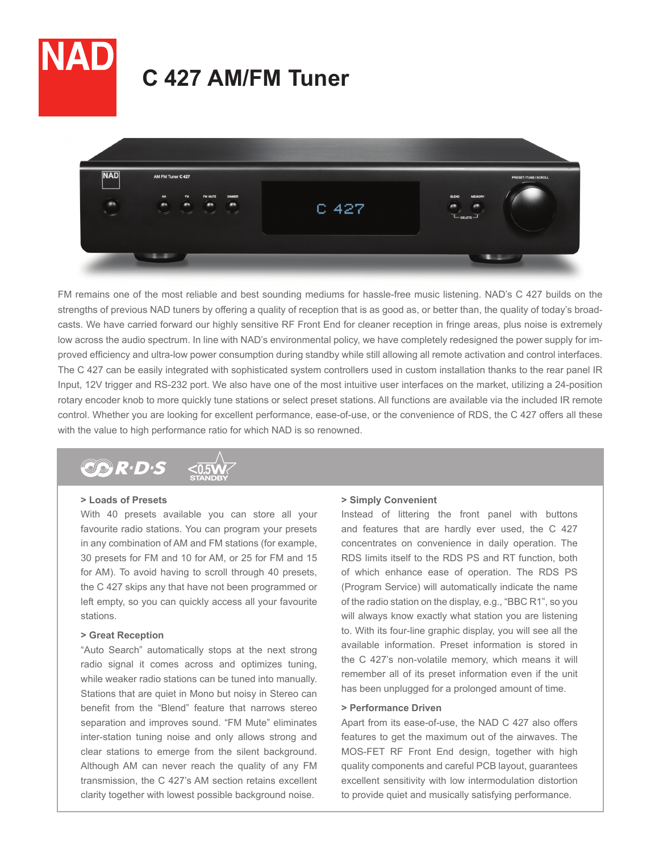



FM remains one of the most reliable and best sounding mediums for hassle-free music listening. NAD's C 427 builds on the strengths of previous NAD tuners by offering a quality of reception that is as good as, or better than, the quality of today's broadcasts. We have carried forward our highly sensitive RF Front End for cleaner reception in fringe areas, plus noise is extremely low across the audio spectrum. In line with NAD's environmental policy, we have completely redesigned the power supply for improved efficiency and ultra-low power consumption during standby while still allowing all remote activation and control interfaces. The C 427 can be easily integrated with sophisticated system controllers used in custom installation thanks to the rear panel IR Input, 12V trigger and RS-232 port. We also have one of the most intuitive user interfaces on the market, utilizing a 24-position rotary encoder knob to more quickly tune stations or select preset stations. All functions are available via the included IR remote control. Whether you are looking for excellent performance, ease-of-use, or the convenience of RDS, the C 427 offers all these with the value to high performance ratio for which NAD is so renowned.



### **> Loads of Presets**

With 40 presets available you can store all your favourite radio stations. You can program your presets in any combination of AM and FM stations (for example, 30 presets for FM and 10 for AM, or 25 for FM and 15 for AM). To avoid having to scroll through 40 presets, the C 427 skips any that have not been programmed or left empty, so you can quickly access all your favourite stations.

## **> Great Reception**

"Auto Search" automatically stops at the next strong radio signal it comes across and optimizes tuning, while weaker radio stations can be tuned into manually. Stations that are quiet in Mono but noisy in Stereo can benefit from the "Blend" feature that narrows stereo separation and improves sound. "FM Mute" eliminates inter-station tuning noise and only allows strong and clear stations to emerge from the silent background. Although AM can never reach the quality of any FM transmission, the C 427's AM section retains excellent clarity together with lowest possible background noise.

#### **> Simply Convenient**

Instead of littering the front panel with buttons and features that are hardly ever used, the C 427 concentrates on convenience in daily operation. The RDS limits itself to the RDS PS and RT function, both of which enhance ease of operation. The RDS PS (Program Service) will automatically indicate the name of the radio station on the display, e.g., "BBC R1", so you will always know exactly what station you are listening to. With its four-line graphic display, you will see all the available information. Preset information is stored in the C 427's non-volatile memory, which means it will remember all of its preset information even if the unit has been unplugged for a prolonged amount of time.

## **> Performance Driven**

Apart from its ease-of-use, the NAD C 427 also offers features to get the maximum out of the airwaves. The MOS-FET RF Front End design, together with high quality components and careful PCB layout, guarantees excellent sensitivity with low intermodulation distortion to provide quiet and musically satisfying performance.